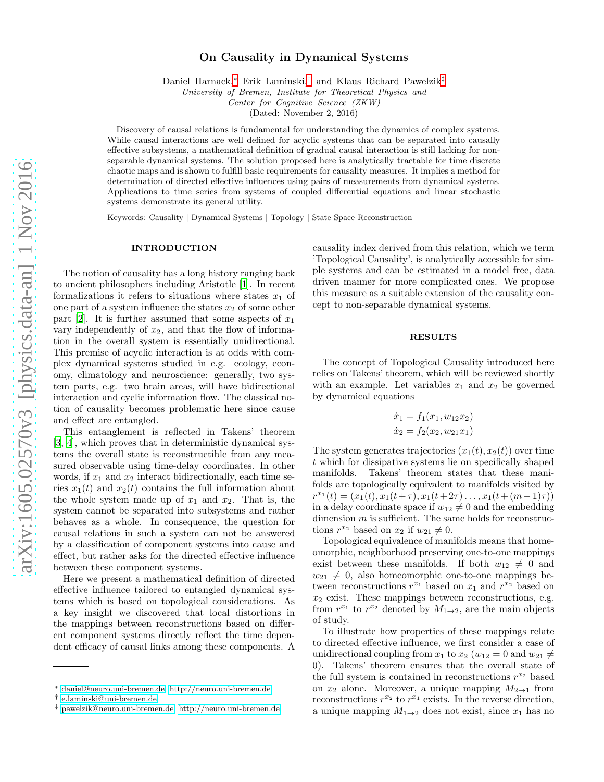# On Causality in Dynamical Systems

Daniel Harnack,[∗](#page-0-0) Erik Laminski,[†](#page-0-1) and Klaus Richard Pawelzik[‡](#page-0-2)

University of Bremen, Institute for Theoretical Physics and

Center for Cognitive Science (ZKW)

(Dated: November 2, 2016)

Discovery of causal relations is fundamental for understanding the dynamics of complex systems. While causal interactions are well defined for acyclic systems that can be separated into causally effective subsystems, a mathematical definition of gradual causal interaction is still lacking for nonseparable dynamical systems. The solution proposed here is analytically tractable for time discrete chaotic maps and is shown to fulfill basic requirements for causality measures. It implies a method for determination of directed effective influences using pairs of measurements from dynamical systems. Applications to time series from systems of coupled differential equations and linear stochastic systems demonstrate its general utility.

Keywords: Causality | Dynamical Systems | Topology | State Space Reconstruction

### INTRODUCTION

The notion of causality has a long history ranging back to ancient philosophers including Aristotle [\[1](#page-6-0)]. In recent formalizations it refers to situations where states  $x_1$  of one part of a system influence the states  $x_2$  of some other part [\[2](#page-6-1)]. It is further assumed that some aspects of  $x_1$ vary independently of  $x_2$ , and that the flow of information in the overall system is essentially unidirectional. This premise of acyclic interaction is at odds with complex dynamical systems studied in e.g. ecology, economy, climatology and neuroscience: generally, two system parts, e.g. two brain areas, will have bidirectional interaction and cyclic information flow. The classical notion of causality becomes problematic here since cause and effect are entangled.

This entanglement is reflected in Takens' theorem [\[3,](#page-6-2) [4\]](#page-6-3), which proves that in deterministic dynamical systems the overall state is reconstructible from any measured observable using time-delay coordinates. In other words, if  $x_1$  and  $x_2$  interact bidirectionally, each time series  $x_1(t)$  and  $x_2(t)$  contains the full information about the whole system made up of  $x_1$  and  $x_2$ . That is, the system cannot be separated into subsystems and rather behaves as a whole. In consequence, the question for causal relations in such a system can not be answered by a classification of component systems into cause and effect, but rather asks for the directed effective influence between these component systems.

Here we present a mathematical definition of directed effective influence tailored to entangled dynamical systems which is based on topological considerations. As a key insight we discovered that local distortions in the mappings between reconstructions based on different component systems directly reflect the time dependent efficacy of causal links among these components. A

causality index derived from this relation, which we term 'Topological Causality', is analytically accessible for simple systems and can be estimated in a model free, data driven manner for more complicated ones. We propose this measure as a suitable extension of the causality concept to non-separable dynamical systems.

## RESULTS

The concept of Topological Causality introduced here relies on Takens' theorem, which will be reviewed shortly with an example. Let variables  $x_1$  and  $x_2$  be governed by dynamical equations

$$
\dot{x}_1 = f_1(x_1, w_{12}x_2)
$$
  

$$
\dot{x}_2 = f_2(x_2, w_{21}x_1)
$$

The system generates trajectories  $(x_1(t), x_2(t))$  over time t which for dissipative systems lie on specifically shaped manifolds. Takens' theorem states that these manifolds are topologically equivalent to manifolds visited by  $r^{x_1}(t) = (x_1(t), x_1(t+\tau), x_1(t+2\tau), \ldots, x_1(t+(m-1)\tau))$ in a delay coordinate space if  $w_{12} \neq 0$  and the embedding dimension  $m$  is sufficient. The same holds for reconstructions  $r^{x_2}$  based on  $x_2$  if  $w_{21} \neq 0$ .

Topological equivalence of manifolds means that homeomorphic, neighborhood preserving one-to-one mappings exist between these manifolds. If both  $w_{12} \neq 0$  and  $w_{21} \neq 0$ , also homeomorphic one-to-one mappings between reconstructions  $r^{x_1}$  based on  $x_1$  and  $r^{x_2}$  based on  $x_2$  exist. These mappings between reconstructions, e.g. from  $r^{x_1}$  to  $r^{x_2}$  denoted by  $M_{1\rightarrow 2}$ , are the main objects of study.

To illustrate how properties of these mappings relate to directed effective influence, we first consider a case of unidirectional coupling from  $x_1$  to  $x_2$  ( $w_{12} = 0$  and  $w_{21} \neq$ 0). Takens' theorem ensures that the overall state of the full system is contained in reconstructions  $r^{x_2}$  based on  $x_2$  alone. Moreover, a unique mapping  $M_{2\rightarrow 1}$  from reconstructions  $r^{x_2}$  to  $r^{x_1}$  exists. In the reverse direction, a unique mapping  $M_{1\rightarrow 2}$  does not exist, since  $x_1$  has no

<span id="page-0-0"></span><sup>∗</sup> [daniel@neuro.uni-bremen.de;](mailto:daniel@neuro.uni-bremen.de)<http://neuro.uni-bremen.de>

<span id="page-0-1"></span><sup>†</sup> [e.laminski@uni-bremen.de](mailto:e.laminski@uni-bremen.de)

<span id="page-0-2"></span><sup>‡</sup> [pawelzik@neuro.uni-bremen.de;](mailto:pawelzik@neuro.uni-bremen.de)<http://neuro.uni-bremen.de>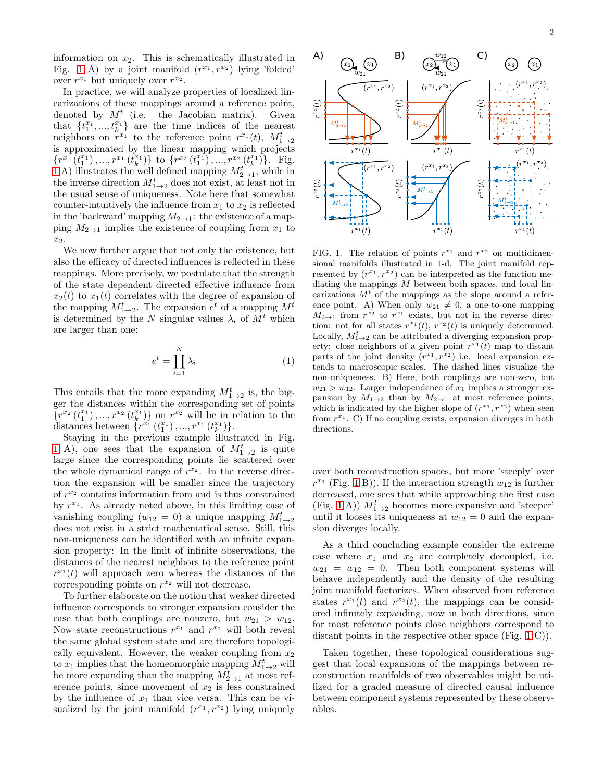information on  $x_2$ . This is schematically illustrated in Fig. [1](#page-1-0) A) by a joint manifold  $(r^{x_1}, r^{x_2})$  lying 'folded' over  $r^{x_1}$  but uniquely over  $r^{x_2}$ .

In practice, we will analyze properties of localized linearizations of these mappings around a reference point, denoted by  $M<sup>t</sup>$  (i.e. the Jacobian matrix). Given that  $\{t_1^{x_1},...,t_k^{x_1}\}$  are the time indices of the nearest neighbors on  $r^{x_1}$  to the reference point  $r^{x_1}(t)$ ,  $M_{1\rightarrow 2}^t$ is approximated by the linear mapping which projects  $\{r^{x_1}(t_1^{x_1}),...,r^{x_1}(t_k^{x_1})\}$  to  $\{r^{x_2}(t_1^{x_1}),...,r^{x_2}(t_k^{x_1})\}$ . Fig. [1](#page-1-0) A) illustrates the well defined mapping  $M_{2\rightarrow 1}^t$ , while in the inverse direction  $M^t_{1\rightarrow 2}$  does not exist, at least not in the usual sense of uniqueness. Note here that somewhat counter-intuitively the influence from  $x_1$  to  $x_2$  is reflected in the 'backward' mapping  $M_{2\to 1}$ : the existence of a mapping  $M_{2\to 1}$  implies the existence of coupling from  $x_1$  to  $x_2$ .

We now further argue that not only the existence, but also the efficacy of directed influences is reflected in these mappings. More precisely, we postulate that the strength of the state dependent directed effective influence from  $x_2(t)$  to  $x_1(t)$  correlates with the degree of expansion of the mapping  $M_{1\rightarrow 2}^t$ . The expansion  $e^t$  of a mapping  $M^t$ is determined by the N singular values  $\lambda_i$  of  $M^t$  which are larger than one:

<span id="page-1-1"></span>
$$
e^t = \prod_{i=1}^N \lambda_i \tag{1}
$$

This entails that the more expanding  $M_{1\rightarrow 2}^t$  is, the bigger the distances within the corresponding set of points  $\{r^{x_2}(t_1^{x_1}),...,r^{x_2}(t_k^{x_1})\}$  on  $r^{x_2}$  will be in relation to the distances between  $\{r^{x_1}(t_1^{x_1}),...,r^{x_1}(t_k^{x_1})\}.$ 

Staying in the previous example illustrated in Fig. [1](#page-1-0) A), one sees that the expansion of  $M_{1\rightarrow 2}^t$  is quite large since the corresponding points lie scattered over the whole dynamical range of  $r^{x_2}$ . In the reverse direction the expansion will be smaller since the trajectory of  $r^{x_2}$  contains information from and is thus constrained by  $r^{x_1}$ . As already noted above, in this limiting case of vanishing coupling  $(w_{12} = 0)$  a unique mapping  $M_{1\rightarrow 2}^t$ does not exist in a strict mathematical sense. Still, this non-uniqueness can be identified with an infinite expansion property: In the limit of infinite observations, the distances of the nearest neighbors to the reference point  $r^{x_1}(t)$  will approach zero whereas the distances of the corresponding points on  $r^{x_2}$  will not decrease.

To further elaborate on the notion that weaker directed influence corresponds to stronger expansion consider the case that both couplings are nonzero, but  $w_{21} > w_{12}$ . Now state reconstructions  $r^{x_1}$  and  $r^{x_2}$  will both reveal the same global system state and are therefore topologically equivalent. However, the weaker coupling from  $x_2$ to  $x_1$  implies that the homeomorphic mapping  $M^t_{1\rightarrow 2}$  will be more expanding than the mapping  $M_{2\rightarrow 1}^{t}$  at most reference points, since movement of  $x_2$  is less constrained by the influence of  $x_1$  than vice versa. This can be visualized by the joint manifold  $(r^{x_1}, r^{x_2})$  lying uniquely



<span id="page-1-0"></span>FIG. 1. The relation of points  $r^{x_1}$  and  $r^{x_2}$  on multidimensional manifolds illustrated in 1-d. The joint manifold represented by  $(r^{x_1}, r^{x_2})$  can be interpreted as the function mediating the mappings M between both spaces, and local linearizations  $M^t$  of the mappings as the slope around a reference point. A) When only  $w_{21} \neq 0$ , a one-to-one mapping  $M_{2\rightarrow 1}$  from  $r^{x_2}$  to  $r^{x_1}$  exists, but not in the reverse direction: not for all states  $r^{x_1}(t)$ ,  $r^{x_2}(t)$  is uniquely determined. Locally,  $M_{1\rightarrow 2}^{t}$  can be attributed a diverging expansion property: close neighbors of a given point  $r^{x_1}(t)$  map to distant parts of the joint density  $(r^{x_1}, r^{x_2})$  i.e. local expansion extends to macroscopic scales. The dashed lines visualize the non-uniqueness. B) Here, both couplings are non-zero, but  $w_{21} > w_{12}$ . Larger independence of  $x_1$  implies a stronger expansion by  $M_{1\rightarrow 2}$  than by  $M_{2\rightarrow 1}$  at most reference points, which is indicated by the higher slope of  $(r^{x_1}, r^{x_2})$  when seen from  $r^{x_1}$ . C) If no coupling exists, expansion diverges in both directions.

over both reconstruction spaces, but more 'steeply' over  $r^{x_1}$  (Fig. [1](#page-1-0) B)). If the interaction strength  $w_{12}$  is further decreased, one sees that while approaching the first case (Fig. [1](#page-1-0) A))  $M^t_{1\rightarrow 2}$  becomes more expansive and 'steeper' until it looses its uniqueness at  $w_{12} = 0$  and the expansion diverges locally.

As a third concluding example consider the extreme case where  $x_1$  and  $x_2$  are completely decoupled, i.e.  $w_{21} = w_{12} = 0$ . Then both component systems will behave independently and the density of the resulting joint manifold factorizes. When observed from reference states  $r^{x_1}(t)$  and  $r^{x_2}(t)$ , the mappings can be considered infinitely expanding, now in both directions, since for most reference points close neighbors correspond to distant points in the respective other space (Fig. [1](#page-1-0) C)).

Taken together, these topological considerations suggest that local expansions of the mappings between reconstruction manifolds of two observables might be utilized for a graded measure of directed causal influence between component systems represented by these observables.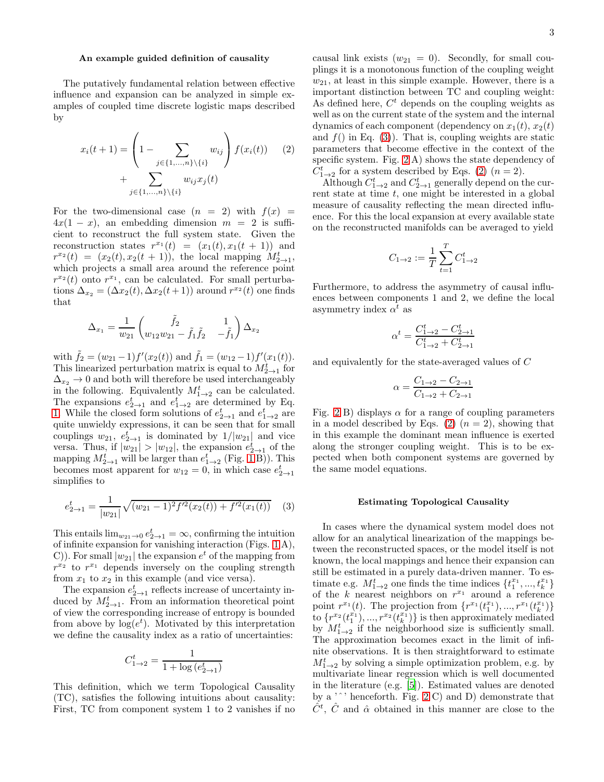### An example guided definition of causality

The putatively fundamental relation between effective influence and expansion can be analyzed in simple examples of coupled time discrete logistic maps described by

$$
x_i(t+1) = \left(1 - \sum_{j \in \{1, ..., n\} \setminus \{i\}} w_{ij}\right) f(x_i(t)) \qquad (2)
$$

$$
+ \sum_{j \in \{1, ..., n\} \setminus \{i\}} w_{ij} x_j(t)
$$

For the two-dimensional case  $(n = 2)$  with  $f(x) =$  $4x(1-x)$ , an embedding dimension  $m = 2$  is sufficient to reconstruct the full system state. Given the reconstruction states  $r^{x_1}(t) = (x_1(t), x_1(t + 1))$  and  $r^{x_2}(t) = (x_2(t), x_2(t+1)),$  the local mapping  $M_{2\to 1}^t$ , which projects a small area around the reference point  $r^{x_2}(t)$  onto  $r^{x_1}$ , can be calculated. For small perturbations  $\Delta_{x_2} = (\Delta x_2(t), \Delta x_2(t+1))$  around  $r^{x_2}(t)$  one finds that

$$
\Delta_{x_1} = \frac{1}{w_{21}} \begin{pmatrix} \tilde{f}_2 & 1 \\ w_{12}w_{21} - \tilde{f}_1 \tilde{f}_2 & -\tilde{f}_1 \end{pmatrix} \Delta_{x_2}
$$

with  $\tilde{f}_2 = (w_{21} - 1) f'(x_2(t))$  and  $\tilde{f}_1 = (w_{12} - 1) f'(x_1(t))$ . This linearized perturbation matrix is equal to  $M^t_{2\to 1}$  for  $\Delta_{x_2} \rightarrow 0$  and both will therefore be used interchangeably in the following. Equivalently  $M_{1\rightarrow 2}^t$  can be calculated. The expansions  $e_{2\to 1}^t$  and  $e_{1\to 2}^t$  are determined by Eq. [1.](#page-1-1) While the closed form solutions of  $e_{2\rightarrow 1}^t$  and  $e_{1\rightarrow 2}^t$  are quite unwieldy expressions, it can be seen that for small couplings  $w_{21}$ ,  $e_{2\rightarrow 1}^t$  is dominated by  $1/|w_{21}|$  and vice versa. Thus, if  $|w_{21}| > |w_{12}|$ , the expansion  $e_{2\to 1}^t$  of the mapping  $M_{2\rightarrow 1}^t$  $M_{2\rightarrow 1}^t$  $M_{2\rightarrow 1}^t$  will be larger than  $e_{1\rightarrow 2}^t$  (Fig. 1 B)). This becomes most apparent for  $w_{12} = 0$ , in which case  $e_{2\rightarrow 1}^t$ simplifies to

<span id="page-2-0"></span>
$$
e_{2\to 1}^t = \frac{1}{|w_{21}|} \sqrt{(w_{21} - 1)^2 f'^2(x_2(t)) + f'^2(x_1(t))}
$$
 (3)

This entails  $\lim_{w_{21} \to 0} e_{2 \to 1}^t = \infty$ , confirming the intuition of infinite expansion for vanishing interaction (Figs. [1](#page-1-0) A), C). For small  $|w_{21}|$  the expansion  $e^t$  of the mapping from  $r^{x_2}$  to  $r^{x_1}$  depends inversely on the coupling strength from  $x_1$  to  $x_2$  in this example (and vice versa).

The expansion  $e_{2\rightarrow 1}^t$  reflects increase of uncertainty induced by  $M_{2\rightarrow 1}^{t}$ . From an information theoretical point of view the corresponding increase of entropy is bounded from above by  $log(e^t)$ . Motivated by this interpretation we define the causality index as a ratio of uncertainties:

$$
C_{1\rightarrow 2}^t=\frac{1}{1+\log\left(e_{2\rightarrow 1}^t\right)}
$$

This definition, which we term Topological Causality (TC), satisfies the following intuitions about causality: First, TC from component system 1 to 2 vanishes if no causal link exists  $(w_{21} = 0)$ . Secondly, for small couplings it is a monotonous function of the coupling weight  $w_{21}$ , at least in this simple example. However, there is a important distinction between TC and coupling weight: As defined here,  $C<sup>t</sup>$  depends on the coupling weights as well as on the current state of the system and the internal

<span id="page-2-1"></span>dynamics of each component (dependency on  $x_1(t)$ ,  $x_2(t)$ ) and  $f()$  in Eq. [\(3\)](#page-2-0)). That is, coupling weights are static parameters that become effective in the context of the specific system. Fig. [2](#page-3-0) A) shows the state dependency of  $C_{1\rightarrow 2}^{t}$  for a system described by Eqs. [\(2\)](#page-2-1)  $(n = 2)$ .

Although  $C_{1\rightarrow 2}^t$  and  $C_{2\rightarrow 1}^t$  generally depend on the current state at time  $t$ , one might be interested in a global measure of causality reflecting the mean directed influence. For this the local expansion at every available state on the reconstructed manifolds can be averaged to yield

$$
C_{1\to 2} := \frac{1}{T} \sum_{t=1}^{T} C_{1\to 2}^{t}
$$

Furthermore, to address the asymmetry of causal influences between components 1 and 2, we define the local asymmetry index  $\alpha^t$  as

$$
\alpha^t = \frac{C_{1\rightarrow 2}^t-C_{2\rightarrow 1}^t}{C_{1\rightarrow 2}^t+C_{2\rightarrow 1}^t}
$$

and equivalently for the state-averaged values of C

$$
\alpha = \frac{C_{1\to 2} - C_{2\to 1}}{C_{1\to 2} + C_{2\to 1}}
$$

Fig. [2](#page-3-0) B) displays  $\alpha$  for a range of coupling parameters in a model described by Eqs. [\(2\)](#page-2-1)  $(n = 2)$ , showing that in this example the dominant mean influence is exerted along the stronger coupling weight. This is to be expected when both component systems are governed by the same model equations.

### Estimating Topological Causality

In cases where the dynamical system model does not allow for an analytical linearization of the mappings between the reconstructed spaces, or the model itself is not known, the local mappings and hence their expansion can still be estimated in a purely data-driven manner. To estimate e.g.  $M_{1\rightarrow 2}^t$  one finds the time indices  $\{t_1^{x_1},...,t_k^{x_1}\}$ of the k nearest neighbors on  $r^{x_1}$  around a reference point  $r^{x_1}(t)$ . The projection from  $\{r^{x_1}(t_1^{x_1}),...,r^{x_1}(t_k^{x_1})\}$ to  $\{r^{x_2}(t_1^{x_1}),...,r^{x_2}(t_k^{x_1})\}$  is then approximately mediated by  $M^t_{1\rightarrow 2}$  if the neighborhood size is sufficiently small. The approximation becomes exact in the limit of infinite observations. It is then straightforward to estimate  $M_{1\rightarrow 2}^{t}$  by solving a simple optimization problem, e.g. by multivariate linear regression which is well documented in the literature (e.g. [\[5](#page-6-4)]). Estimated values are denoted by a  $\cdot$   $\cdot$  henceforth. Fig. [2](#page-3-0) C) and D) demonstrate that  $\hat{C}^t$ ,  $\hat{C}$  and  $\hat{\alpha}$  obtained in this manner are close to the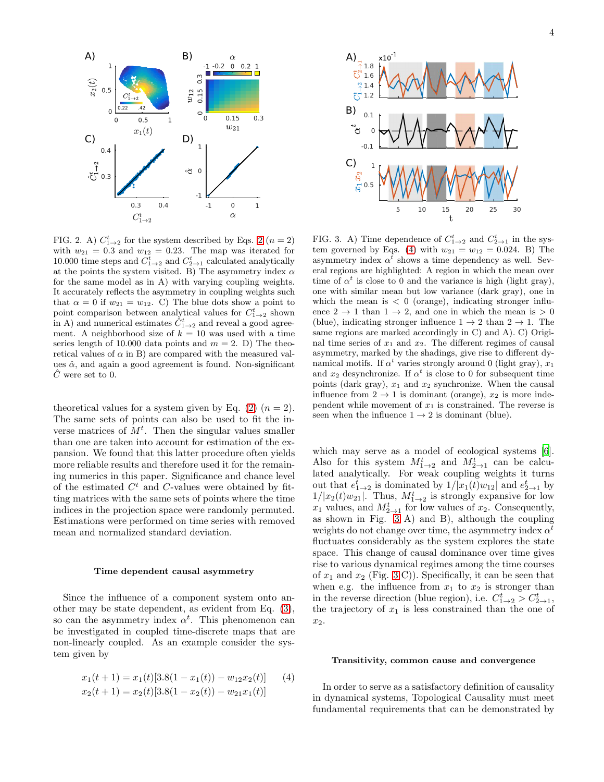

<span id="page-3-0"></span>FIG. [2](#page-2-1). A)  $C_{1\rightarrow 2}^{t}$  for the system described by Eqs. 2 ( $n=2$ ) with  $w_{21} = 0.3$  and  $w_{12} = 0.23$ . The map was iterated for 10.000 time steps and  $C_{1\rightarrow 2}^t$  and  $C_{2\rightarrow 1}^t$  calculated analytically at the points the system visited. B) The asymmetry index  $\alpha$ for the same model as in A) with varying coupling weights. It accurately reflects the asymmetry in coupling weights such that  $\alpha = 0$  if  $w_{21} = w_{12}$ . C) The blue dots show a point to point comparison between analytical values for  $C_{1\rightarrow 2}^t$  shown<br>in A) and numerical estimates  $\hat{C}_{1\rightarrow 2}^t$  and reveal a good agreement. A neighborhood size of  $k = 10$  was used with a time series length of 10.000 data points and  $m = 2$ . D) The theoretical values of  $\alpha$  in B) are compared with the measured values  $\hat{\alpha}$ , and again a good agreement is found. Non-significant  $\ddot{C}$  were set to 0.

theoretical values for a system given by Eq.  $(2)$   $(n = 2)$ . The same sets of points can also be used to fit the inverse matrices of  $M<sup>t</sup>$ . Then the singular values smaller than one are taken into account for estimation of the expansion. We found that this latter procedure often yields more reliable results and therefore used it for the remaining numerics in this paper. Significance and chance level of the estimated  $C<sup>t</sup>$  and C-values were obtained by fitting matrices with the same sets of points where the time indices in the projection space were randomly permuted. Estimations were performed on time series with removed mean and normalized standard deviation.

#### Time dependent causal asymmetry

Since the influence of a component system onto another may be state dependent, as evident from Eq. [\(3\)](#page-2-0), so can the asymmetry index  $\alpha^t$ . This phenomenon can be investigated in coupled time-discrete maps that are non-linearly coupled. As an example consider the system given by

$$
x_1(t+1) = x_1(t)[3.8(1 - x_1(t)) - w_{12}x_2(t)] \qquad (4)
$$
  

$$
x_2(t+1) = x_2(t)[3.8(1 - x_2(t)) - w_{21}x_1(t)]
$$



<span id="page-3-2"></span>FIG. 3. A) Time dependence of  $C_{1\rightarrow 2}^t$  and  $C_{2\rightarrow 1}^t$  in the sys-tem governed by Eqs. [\(4\)](#page-3-1) with  $w_{21} = w_{12} = 0.024$ . B) The asymmetry index  $\alpha^t$  shows a time dependency as well. Several regions are highlighted: A region in which the mean over time of  $\alpha^t$  is close to 0 and the variance is high (light gray), one with similar mean but low variance (dark gray), one in which the mean is  $< 0$  (orange), indicating stronger influence  $2 \rightarrow 1$  than  $1 \rightarrow 2$ , and one in which the mean is  $> 0$ (blue), indicating stronger influence  $1 \rightarrow 2$  than  $2 \rightarrow 1$ . The same regions are marked accordingly in C) and A). C) Original time series of  $x_1$  and  $x_2$ . The different regimes of causal asymmetry, marked by the shadings, give rise to different dynamical motifs. If  $\alpha^t$  varies strongly around 0 (light gray),  $x_1$ and  $x_2$  desynchronize. If  $\alpha^t$  is close to 0 for subsequent time points (dark gray),  $x_1$  and  $x_2$  synchronize. When the causal influence from  $2 \rightarrow 1$  is dominant (orange),  $x_2$  is more independent while movement of  $x_1$  is constrained. The reverse is seen when the influence  $1 \rightarrow 2$  is dominant (blue).

which may serve as a model of ecological systems [\[6\]](#page-6-5). Also for this system  $M_{1\rightarrow 2}^t$  and  $M_{2\rightarrow 1}^t$  can be calculated analytically. For weak coupling weights it turns out that  $e_{1\rightarrow 2}^t$  is dominated by  $1/|x_1(t)w_{12}|$  and  $e_{2\rightarrow 1}^t$  by  $1/|x_2(t)w_{21}|$ . Thus,  $M_{1\rightarrow 2}^t$  is strongly expansive for low  $x_1$  values, and  $M_{2\rightarrow 1}^t$  for low values of  $x_2$ . Consequently, as shown in Fig. [3](#page-3-2) A) and B), although the coupling weights do not change over time, the asymmetry index  $\alpha^t$ fluctuates considerably as the system explores the state space. This change of causal dominance over time gives rise to various dynamical regimes among the time courses of  $x_1$  and  $x_2$  (Fig. [3](#page-3-2) C)). Specifically, it can be seen that when e.g. the influence from  $x_1$  to  $x_2$  is stronger than in the reverse direction (blue region), i.e.  $C_{1\rightarrow 2}^{t} > C_{2\rightarrow 1}^{t}$ , the trajectory of  $x_1$  is less constrained than the one of  $x_2$ .

## Transitivity, common cause and convergence

<span id="page-3-1"></span>In order to serve as a satisfactory definition of causality in dynamical systems, Topological Causality must meet fundamental requirements that can be demonstrated by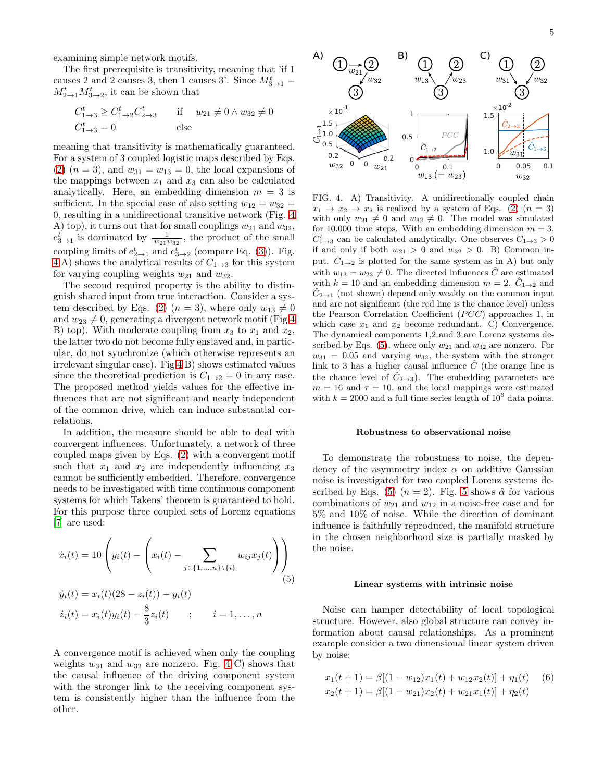examining simple network motifs.

The first prerequisite is transitivity, meaning that 'if 1 causes 2 and 2 causes 3, then 1 causes 3'. Since  $M_{3\rightarrow 1}^t =$  $M_{2\rightarrow 1}^t M_{3\rightarrow 2}^t$ , it can be shown that

$$
C_{1\to 3}^t \ge C_{1\to 2}^t C_{2\to 3}^t
$$
 if  $w_{21} \ne 0 \wedge w_{32} \ne 0$   
 $C_{1\to 3}^t = 0$  else

meaning that transitivity is mathematically guaranteed. For a system of 3 coupled logistic maps described by Eqs. [\(2\)](#page-2-1)  $(n = 3)$ , and  $w_{31} = w_{13} = 0$ , the local expansions of the mappings between  $x_1$  and  $x_3$  can also be calculated analytically. Here, an embedding dimension  $m = 3$  is sufficient. In the special case of also setting  $w_{12} = w_{32} =$ 0, resulting in a unidirectional transitive network (Fig. [4](#page-4-0) A) top), it turns out that for small couplings  $w_{21}$  and  $w_{32}$ ,  $e_{3\rightarrow1}^t$  is dominated by  $\frac{1}{|w_{21}w_{32}|}$ , the product of the small coupling limits of  $e_{2\to 1}^t$  and  $e_{3\to 2}^t$  (compare Eq. [\(3\)](#page-2-0)). Fig. [4](#page-4-0) A) shows the analytical results of  $C_{1\rightarrow 3}$  for this system for varying coupling weights  $w_{21}$  and  $w_{32}$ .

The second required property is the ability to distinguish shared input from true interaction. Consider a sys-tem described by Eqs. [\(2\)](#page-2-1)  $(n = 3)$ , where only  $w_{13} \neq 0$ and  $w_{23} \neq 0$ , generating a divergent network motif (Fig [4](#page-4-0)) B) top). With moderate coupling from  $x_3$  to  $x_1$  and  $x_2$ , the latter two do not become fully enslaved and, in particular, do not synchronize (which otherwise represents an irrelevant singular case). Fig [4](#page-4-0) B) shows estimated values since the theoretical prediction is  $C_{1\rightarrow 2} = 0$  in any case. The proposed method yields values for the effective influences that are not significant and nearly independent of the common drive, which can induce substantial correlations.

In addition, the measure should be able to deal with convergent influences. Unfortunately, a network of three coupled maps given by Eqs. [\(2\)](#page-2-1) with a convergent motif such that  $x_1$  and  $x_2$  are independently influencing  $x_3$ cannot be sufficiently embedded. Therefore, convergence needs to be investigated with time continuous component systems for which Takens' theorem is guaranteed to hold. For this purpose three coupled sets of Lorenz equations [\[7\]](#page-6-6) are used:

$$
\dot{x}_i(t) = 10 \left( y_i(t) - \left( x_i(t) - \sum_{j \in \{1, ..., n\} \setminus \{i\}} w_{ij} x_j(t) \right) \right)
$$
\n
$$
\dot{y}_i(t) = x_i(t) (28 - z_i(t)) - y_i(t)
$$
\n
$$
\dot{z}_i(t) = x_i(t) y_i(t) - \frac{8}{3} z_i(t) \qquad ; \qquad i = 1, ..., n
$$
\n(5)

A convergence motif is achieved when only the coupling weights  $w_{31}$  and  $w_{32}$  are nonzero. Fig. [4](#page-4-0) C) shows that the causal influence of the driving component system with the stronger link to the receiving component system is consistently higher than the influence from the other.



<span id="page-4-0"></span>FIG. 4. A) Transitivity. A unidirectionally coupled chain  $x_1 \rightarrow x_2 \rightarrow x_3$  is realized by a system of Eqs. [\(2\)](#page-2-1)  $(n = 3)$ with only  $w_{21} \neq 0$  and  $w_{32} \neq 0$ . The model was simulated for 10.000 time steps. With an embedding dimension  $m = 3$ ,  $C_{1\rightarrow 3}^{t}$  can be calculated analytically. One observes  $C_{1\rightarrow 3} > 0$ if and only if both  $w_{21} > 0$  and  $w_{32} > 0$ . B) Common input.  $\hat{C}_{1\rightarrow 2}$  is plotted for the same system as in A) but only with  $w_{13} = w_{23} \neq 0$ . The directed influences  $\hat{C}$  are estimated with  $k = 10$  and an embedding dimension  $m = 2$ .  $\hat{C}_{1\rightarrow 2}$  and  $\hat{C}_{2\to1}$  (not shown) depend only weakly on the common input and are not significant (the red line is the chance level) unless the Pearson Correlation Coefficient  $(PCC)$  approaches 1, in which case  $x_1$  and  $x_2$  become redundant. C) Convergence. The dynamical components 1,2 and 3 are Lorenz systems described by Eqs.  $(5)$ , where only  $w_{21}$  and  $w_{32}$  are nonzero. For  $w_{31} = 0.05$  and varying  $w_{32}$ , the system with the stronger link to 3 has a higher causal influence  $\ddot{C}$  (the orange line is the chance level of  $C_{2\rightarrow 3}$ ). The embedding parameters are  $m = 16$  and  $\tau = 10$ , and the local mappings were estimated with  $k = 2000$  and a full time series length of  $10^6$  data points.

### Robustness to observational noise

To demonstrate the robustness to noise, the dependency of the asymmetry index  $\alpha$  on additive Gaussian noise is investigated for two coupled Lorenz systems de-scribed by Eqs. [\(5\)](#page-4-1)  $(n = 2)$ . Fig. [5](#page-5-0) shows  $\hat{\alpha}$  for various combinations of  $w_{21}$  and  $w_{12}$  in a noise-free case and for 5% and 10% of noise. While the direction of dominant influence is faithfully reproduced, the manifold structure in the chosen neighborhood size is partially masked by the noise.

#### <span id="page-4-2"></span>Linear systems with intrinsic noise

<span id="page-4-1"></span>Noise can hamper detectability of local topological structure. However, also global structure can convey information about causal relationships. As a prominent example consider a two dimensional linear system driven by noise:

$$
x_1(t+1) = \beta[(1-w_{12})x_1(t) + w_{12}x_2(t)] + \eta_1(t)
$$
(6)  

$$
x_2(t+1) = \beta[(1-w_{21})x_2(t) + w_{21}x_1(t)] + \eta_2(t)
$$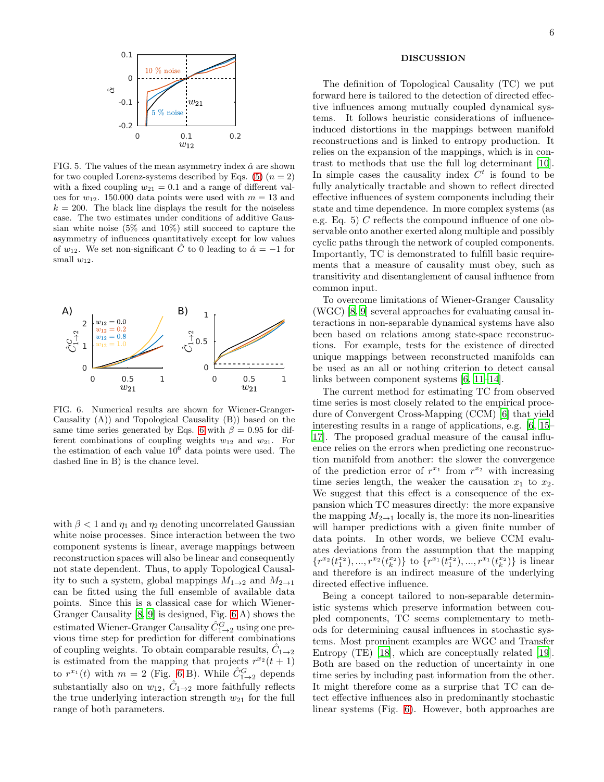

<span id="page-5-0"></span>FIG. 5. The values of the mean asymmetry index  $\hat{\alpha}$  are shown for two coupled Lorenz-systems described by Eqs. [\(5\)](#page-4-1)  $(n = 2)$ with a fixed coupling  $w_{21} = 0.1$  and a range of different values for  $w_{12}$ . 150.000 data points were used with  $m = 13$  and  $k = 200$ . The black line displays the result for the noiseless case. The two estimates under conditions of additive Gaussian white noise (5% and 10%) still succeed to capture the asymmetry of influences quantitatively except for low values of  $w_{12}$ . We set non-significant  $\hat{C}$  to 0 leading to  $\hat{\alpha} = -1$  for small  $w_{12}$ .



<span id="page-5-1"></span>FIG. 6. Numerical results are shown for Wiener-Granger-Causality (A)) and Topological Causality (B)) based on the same time series generated by Eqs. [6](#page-4-2) with  $\beta = 0.95$  for different combinations of coupling weights  $w_{12}$  and  $w_{21}$ . For the estimation of each value  $10^6$  data points were used. The dashed line in B) is the chance level.

with  $\beta$  < 1 and  $\eta_1$  and  $\eta_2$  denoting uncorrelated Gaussian white noise processes. Since interaction between the two component systems is linear, average mappings between reconstruction spaces will also be linear and consequently not state dependent. Thus, to apply Topological Causality to such a system, global mappings  $M_{1\rightarrow 2}$  and  $M_{2\rightarrow 1}$ can be fitted using the full ensemble of available data points. Since this is a classical case for which Wiener-Granger Causality [\[8](#page-6-7), [9](#page-6-8)] is designed, Fig. [6](#page-5-1) A) shows the estimated Wiener-Granger Causality  $\hat{C}_{1\rightarrow 2}^G$  using one previous time step for prediction for different combinations of coupling weights. To obtain comparable results,  $\hat{C}_{1\rightarrow 2}$ is estimated from the mapping that projects  $r^{x_2}(t+1)$ to  $r^{x_1}(t)$  with  $m = 2$  (Fig. [6](#page-5-1) B). While  $\hat{C}_{1\rightarrow 2}^G$  depends substantially also on  $w_{12}$ ,  $\hat{C}_{1\rightarrow 2}$  more faithfully reflects the true underlying interaction strength  $w_{21}$  for the full range of both parameters.

### DISCUSSION

The definition of Topological Causality (TC) we put forward here is tailored to the detection of directed effective influences among mutually coupled dynamical systems. It follows heuristic considerations of influenceinduced distortions in the mappings between manifold reconstructions and is linked to entropy production. It relies on the expansion of the mappings, which is in contrast to methods that use the full log determinant [\[10\]](#page-6-9). In simple cases the causality index  $C<sup>t</sup>$  is found to be fully analytically tractable and shown to reflect directed effective influences of system components including their state and time dependence. In more complex systems (as e.g. Eq. 5) C reflects the compound influence of one observable onto another exerted along multiple and possibly cyclic paths through the network of coupled components. Importantly, TC is demonstrated to fulfill basic requirements that a measure of causality must obey, such as transitivity and disentanglement of causal influence from common input.

To overcome limitations of Wiener-Granger Causality (WGC) [\[8](#page-6-7), [9\]](#page-6-8) several approaches for evaluating causal interactions in non-separable dynamical systems have also been based on relations among state-space reconstructions. For example, tests for the existence of directed unique mappings between reconstructed manifolds can be used as an all or nothing criterion to detect causal links between component systems [\[6,](#page-6-5) [11](#page-6-10)[–14\]](#page-6-11).

The current method for estimating TC from observed time series is most closely related to the empirical procedure of Convergent Cross-Mapping (CCM) [\[6](#page-6-5)] that yield interesting results in a range of applications, e.g. [\[6](#page-6-5), [15](#page-6-12)– [17\]](#page-6-13). The proposed gradual measure of the causal influence relies on the errors when predicting one reconstruction manifold from another: the slower the convergence of the prediction error of  $r^{x_1}$  from  $r^{x_2}$  with increasing time series length, the weaker the causation  $x_1$  to  $x_2$ . We suggest that this effect is a consequence of the expansion which TC measures directly: the more expansive the mapping  $M_{2\to 1}$  locally is, the more its non-linearities will hamper predictions with a given finite number of data points. In other words, we believe CCM evaluates deviations from the assumption that the mapping  $\{r^{x_2}(t_1^{x_2}),...,r^{x_2}(t_k^{x_2})\}$  to  $\{r^{x_1}(t_1^{x_2}),...,r^{x_1}(t_k^{x_2})\}$  is linear and therefore is an indirect measure of the underlying directed effective influence.

Being a concept tailored to non-separable deterministic systems which preserve information between coupled components, TC seems complementary to methods for determining causal influences in stochastic systems. Most prominent examples are WGC and Transfer Entropy (TE) [\[18\]](#page-6-14), which are conceptually related [\[19\]](#page-6-15). Both are based on the reduction of uncertainty in one time series by including past information from the other. It might therefore come as a surprise that TC can detect effective influences also in predominantly stochastic linear systems (Fig. [6\)](#page-5-1). However, both approaches are